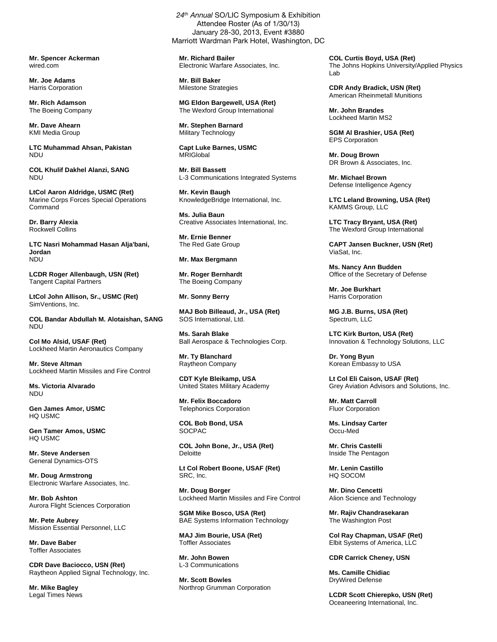**Mr. Spencer Ackerman**  wired.com

**Mr. Joe Adams**  Harris Corporation

**Mr. Rich Adamson**  The Boeing Company

**Mr. Dave Ahearn**  KMI Media Group

**LTC Muhammad Ahsan, Pakistan**  NDU

**COL Khulif Dakhel Alanzi, SANG**  NDU

**LtCol Aaron Aldridge, USMC (Ret)**  Marine Corps Forces Special Operations Command

**Dr. Barry Alexia**  Rockwell Collins

**LTC Nasri Mohammad Hasan Alja'bani, Jordan**  NDU

**LCDR Roger Allenbaugh, USN (Ret)**  Tangent Capital Partners

**LtCol John Allison, Sr., USMC (Ret)**  SimVentions, Inc.

**COL Bandar Abdullah M. Alotaishan, SANG**  NDU

**Col Mo Alsid, USAF (Ret)**  Lockheed Martin Aeronautics Company

**Mr. Steve Altman**  Lockheed Martin Missiles and Fire Control

**Ms. Victoria Alvarado**  NDU

**Gen James Amor, USMC**  HQ USMC

**Gen Tamer Amos, USMC**  HQ USMC

**Mr. Steve Andersen**  General Dynamics-OTS

**Mr. Doug Armstrong**  Electronic Warfare Associates, Inc.

**Mr. Bob Ashton**  Aurora Flight Sciences Corporation

**Mr. Pete Aubrey**  Mission Essential Personnel, LLC

**Mr. Dave Baber**  Toffler Associates

**CDR Dave Baciocco, USN (Ret)**  Raytheon Applied Signal Technology, Inc.

**Mr. Mike Bagley**  Legal Times News

24<sup>th</sup> Annual SO/LIC Symposium & Exhibition Attendee Roster (As of 1/30/13) January 28-30, 2013, Event #3880 Marriott Wardman Park Hotel, Washington, DC

**Mr. Richard Bailer**  Electronic Warfare Associates, Inc.

**Mr. Bill Baker**  Milestone Strategies

**MG Eldon Bargewell, USA (Ret)**  The Wexford Group International

**Mr. Stephen Barnard**  Military Technology

**Capt Luke Barnes, USMC MRIGIohal** 

**Mr. Bill Bassett**  L-3 Communications Integrated Systems

**Mr. Kevin Baugh**  KnowledgeBridge International, Inc.

**Ms. Julia Baun**  Creative Associates International, Inc.

**Mr. Ernie Benner**  The Red Gate Group

## **Mr. Max Bergmann**

**Mr. Roger Bernhardt**  The Boeing Company

## **Mr. Sonny Berry**

**MAJ Bob Billeaud, Jr., USA (Ret)**  SOS International, Ltd.

**Ms. Sarah Blake**  Ball Aerospace & Technologies Corp.

**Mr. Ty Blanchard**  Raytheon Company

**CDT Kyle Bleikamp, USA**  United States Military Academy

**Mr. Felix Boccadoro**  Telephonics Corporation

**COL Bob Bond, USA**  SOCPAC

**COL John Bone, Jr., USA (Ret) Deloitte** 

**Lt Col Robert Boone, USAF (Ret)**  SRC, Inc.

**Mr. Doug Borger**  Lockheed Martin Missiles and Fire Control

**SGM Mike Bosco, USA (Ret)**  BAE Systems Information Technology

**MAJ Jim Bourie, USA (Ret)**  Toffler Associates

**Mr. John Bowen**  L-3 Communications

**Mr. Scott Bowles**  Northrop Grumman Corporation **COL Curtis Boyd, USA (Ret)**  The Johns Hopkins University/Applied Physics Lab

**CDR Andy Bradick, USN (Ret)**  American Rheinmetall Munitions

**Mr. John Brandes**  Lockheed Martin MS2

**SGM Al Brashier, USA (Ret)**  EPS Corporation

**Mr. Doug Brown**  DR Brown & Associates, Inc.

**Mr. Michael Brown**  Defense Intelligence Agency

**LTC Leland Browning, USA (Ret)**  KAMMS Group, LLC

**LTC Tracy Bryant, USA (Ret)**  The Wexford Group International

**CAPT Jansen Buckner, USN (Ret)**  ViaSat, Inc.

**Ms. Nancy Ann Budden**  Office of the Secretary of Defense

**Mr. Joe Burkhart**  Harris Corporation

**MG J.B. Burns, USA (Ret)**  Spectrum, LLC

**LTC Kirk Burton, USA (Ret)**  Innovation & Technology Solutions, LLC

**Dr. Yong Byun**  Korean Embassy to USA

**Lt Col Eli Caison, USAF (Ret)**  Grey Aviation Advisors and Solutions, Inc.

**Mr. Matt Carroll**  Fluor Corporation

**Ms. Lindsay Carter**  Occu-Med

**Mr. Chris Castelli**  Inside The Pentagon

**Mr. Lenin Castillo**  HQ SOCOM

**Mr. Dino Cencetti**  Alion Science and Technology

**Mr. Rajiv Chandrasekaran**  The Washington Post

**Col Ray Chapman, USAF (Ret)**  Elbit Systems of America, LLC

**CDR Carrick Cheney, USN** 

**Ms. Camille Chidiac**  DryWired Defense

**LCDR Scott Chierepko, USN (Ret)**  Oceaneering International, Inc.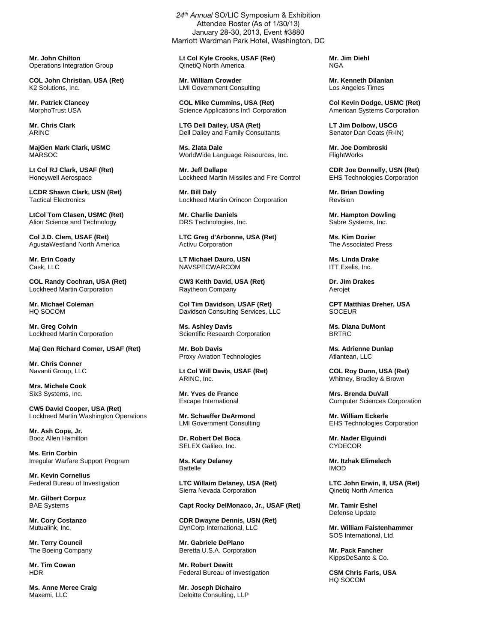**Mr. John Chilton**  Operations Integration Group

**COL John Christian, USA (Ret)**  K2 Solutions, Inc.

**Mr. Patrick Clancey**  MorphoTrust USA

**Mr. Chris Clark**  ARINC

**MajGen Mark Clark, USMC**  MARSOC

**Lt Col RJ Clark, USAF (Ret)**  Honeywell Aerospace

**LCDR Shawn Clark, USN (Ret)**  Tactical Electronics

**LtCol Tom Clasen, USMC (Ret)**  Alion Science and Technology

**Col J.D. Clem, USAF (Ret)**  AgustaWestland North America

**Mr. Erin Coady**  Cask, LLC

**COL Randy Cochran, USA (Ret)**  Lockheed Martin Corporation

**Mr. Michael Coleman**  HQ SOCOM

**Mr. Greg Colvin**  Lockheed Martin Corporation

**Maj Gen Richard Comer, USAF (Ret)** 

**Mr. Chris Conner**  Navanti Group, LLC

**Mrs. Michele Cook**  Six3 Systems, Inc.

**CW5 David Cooper, USA (Ret)**  Lockheed Martin Washington Operations

**Mr. Ash Cope, Jr.**  Booz Allen Hamilton

**Ms. Erin Corbin**  Irregular Warfare Support Program

**Mr. Kevin Cornelius**  Federal Bureau of Investigation

**Mr. Gilbert Corpuz**  BAE Systems

**Mr. Cory Costanzo**  Mutualink, Inc.

**Mr. Terry Council**  The Boeing Company

**Mr. Tim Cowan**  HDR

**Ms. Anne Meree Craig**  Maxemi, LLC

24<sup>th</sup> Annual SO/LIC Symposium & Exhibition Attendee Roster (As of 1/30/13) January 28-30, 2013, Event #3880 Marriott Wardman Park Hotel, Washington, DC

**Lt Col Kyle Crooks, USAF (Ret)**  QinetiQ North America

**Mr. William Crowder**  LMI Government Consulting

**COL Mike Cummins, USA (Ret)**  Science Applications Int'l Corporation

**LTG Dell Dailey, USA (Ret)**  Dell Dailey and Family Consultants

**Ms. Zlata Dale**  WorldWide Language Resources, Inc.

**Mr. Jeff Dallape**  Lockheed Martin Missiles and Fire Control

**Mr. Bill Daly**  Lockheed Martin Orincon Corporation

**Mr. Charlie Daniels**  DRS Technologies, Inc.

**LTC Greg d'Arbonne, USA (Ret)**  Activu Corporation

**LT Michael Dauro, USN**  NAVSPECWARCOM

**CW3 Keith David, USA (Ret)**  Raytheon Company

**Col Tim Davidson, USAF (Ret)**  Davidson Consulting Services, LLC

**Ms. Ashley Davis**  Scientific Research Corporation

**Mr. Bob Davis**  Proxy Aviation Technologies

**Lt Col Will Davis, USAF (Ret)**  ARINC, Inc.

**Mr. Yves de France**  Escape International

**Mr. Schaeffer DeArmond**  LMI Government Consulting

**Dr. Robert Del Boca**  SELEX Galileo, Inc.

**Ms. Katy Delaney**  Battelle

**LTC Willaim Delaney, USA (Ret)**  Sierra Nevada Corporation

**Capt Rocky DelMonaco, Jr., USAF (Ret)** 

**CDR Dwayne Dennis, USN (Ret)**  DynCorp International, LLC

**Mr. Gabriele DePlano**  Beretta U.S.A. Corporation

**Mr. Robert Dewitt**  Federal Bureau of Investigation

**Mr. Joseph Dichairo**  Deloitte Consulting, LLP **Mr. Jim Diehl**  NGA

**Mr. Kenneth Dilanian**  Los Angeles Times

**Col Kevin Dodge, USMC (Ret)**  American Systems Corporation

**LT Jim Dolbow, USCG**  Senator Dan Coats (R-IN)

**Mr. Joe Dombroski**  FlightWorks

**CDR Joe Donnelly, USN (Ret)**  EHS Technologies Corporation

**Mr. Brian Dowling**  Revision

**Mr. Hampton Dowling**  Sabre Systems, Inc.

**Ms. Kim Dozier**  The Associated Press

**Ms. Linda Drake**  ITT Exelis, Inc.

**Dr. Jim Drakes**  Aerojet

**CPT Matthias Dreher, USA SOCEUR** 

**Ms. Diana DuMont**  BRTRC

**Ms. Adrienne Dunlap**  Atlantean, LLC

**COL Roy Dunn, USA (Ret)**  Whitney, Bradley & Brown

**Mrs. Brenda DuVall**  Computer Sciences Corporation

**Mr. William Eckerle**  EHS Technologies Corporation

**Mr. Nader Elguindi**  CYDECOR

**Mr. Itzhak Elimelech**  IMOD

**LTC John Erwin, II, USA (Ret)**  Qinetiq North America

**Mr. Tamir Eshel**  Defense Update

**Mr. William Faistenhammer**  SOS International, Ltd.

**Mr. Pack Fancher**  KippsDeSanto & Co.

**CSM Chris Faris, USA**  HQ SOCOM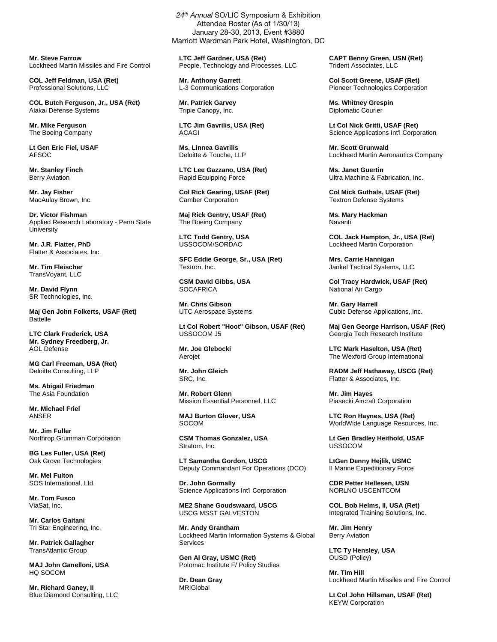**Mr. Steve Farrow**  Lockheed Martin Missiles and Fire Control

**COL Jeff Feldman, USA (Ret)**  Professional Solutions, LLC

**COL Butch Ferguson, Jr., USA (Ret)**  Alakai Defense Systems

**Mr. Mike Ferguson**  The Boeing Company

**Lt Gen Eric Fiel, USAF**  AFSOC

**Mr. Stanley Finch**  Berry Aviation

**Mr. Jay Fisher**  MacAulay Brown, Inc.

**Dr. Victor Fishman**  Applied Research Laboratory - Penn State **University** 

**Mr. J.R. Flatter, PhD**  Flatter & Associates, Inc.

**Mr. Tim Fleischer**  TransVoyant, LLC

**Mr. David Flynn**  SR Technologies, Inc.

**Maj Gen John Folkerts, USAF (Ret)**  Battelle

**LTC Clark Frederick, USA Mr. Sydney Freedberg, Jr.**  AOL Defense

**MG Carl Freeman, USA (Ret)**  Deloitte Consulting, LLP

**Ms. Abigail Friedman**  The Asia Foundation

**Mr. Michael Friel**  ANSER

**Mr. Jim Fuller**  Northrop Grumman Corporation

**BG Les Fuller, USA (Ret)**  Oak Grove Technologies

**Mr. Mel Fulton**  SOS International, Ltd.

**Mr. Tom Fusco**  ViaSat, Inc.

**Mr. Carlos Gaitani**  Tri Star Engineering, Inc.

**Mr. Patrick Gallagher**  TransAtlantic Group

**MAJ John Ganelloni, USA**  HQ SOCOM

**Mr. Richard Ganey, II**  Blue Diamond Consulting, LLC

January 28-30, 2013, Event #3880 Marriott Wardman Park Hotel, Washington, DC

24<sup>th</sup> Annual SO/LIC Symposium & Exhibition Attendee Roster (As of 1/30/13)

**LTC Jeff Gardner, USA (Ret)**  People, Technology and Processes, LLC

**Mr. Anthony Garrett**  L-3 Communications Corporation

**Mr. Patrick Garvey**  Triple Canopy, Inc.

**LTC Jim Gavrilis, USA (Ret)**  ACAGI

**Ms. Linnea Gavrilis**  Deloitte & Touche, LLP

**LTC Lee Gazzano, USA (Ret)**  Rapid Equipping Force

**Col Rick Gearing, USAF (Ret)**  Camber Corporation

**Maj Rick Gentry, USAF (Ret)**  The Boeing Company

**LTC Todd Gentry, USA**  USSOCOM/SORDAC

**SFC Eddie George, Sr., USA (Ret)**  Textron, Inc.

**CSM David Gibbs, USA SOCAFRICA** 

**Mr. Chris Gibson**  UTC Aerospace Systems

**Lt Col Robert "Hoot" Gibson, USAF (Ret)**  USSOCOM J5

**Mr. Joe Glebocki Aeroiet** 

**Mr. John Gleich**  SRC, Inc.

**Mr. Robert Glenn**  Mission Essential Personnel, LLC

**MAJ Burton Glover, USA**  SOCOM

**CSM Thomas Gonzalez, USA**  Stratom, Inc.

**LT Samantha Gordon, USCG**  Deputy Commandant For Operations (DCO)

**Dr. John Gormally**  Science Applications Int'l Corporation

**ME2 Shane Goudswaard, USCG**  USCG MSST GALVESTON

**Mr. Andy Grantham**  Lockheed Martin Information Systems & Global Services

**Gen Al Gray, USMC (Ret)**  Potomac Institute F/ Policy Studies

**Dr. Dean Gray**  MRIGlobal

**CAPT Benny Green, USN (Ret)**  Trident Associates, LLC

**Col Scott Greene, USAF (Ret)**  Pioneer Technologies Corporation

**Ms. Whitney Grespin**  Diplomatic Courier

**Lt Col Nick Gritti, USAF (Ret)**  Science Applications Int'l Corporation

**Mr. Scott Grunwald**  Lockheed Martin Aeronautics Company

**Ms. Janet Guertin**  Ultra Machine & Fabrication, Inc.

**Col Mick Guthals, USAF (Ret)**  Textron Defense Systems

**Ms. Mary Hackman**  Navanti

**COL Jack Hampton, Jr., USA (Ret)**  Lockheed Martin Corporation

**Mrs. Carrie Hannigan**  Jankel Tactical Systems, LLC

**Col Tracy Hardwick, USAF (Ret)**  National Air Cargo

**Mr. Gary Harrell**  Cubic Defense Applications, Inc.

**Maj Gen George Harrison, USAF (Ret)**  Georgia Tech Research Institute

**LTC Mark Haselton, USA (Ret)**  The Wexford Group International

**RADM Jeff Hathaway, USCG (Ret)**  Flatter & Associates, Inc.

**Mr. Jim Hayes**  Piasecki Aircraft Corporation

**LTC Ron Haynes, USA (Ret)**  WorldWide Language Resources, Inc.

**Lt Gen Bradley Heithold, USAF**  USSOCOM

**LtGen Denny Hejlik, USMC**  II Marine Expeditionary Force

**CDR Petter Hellesen, USN**  NORLNO USCENTCOM

**COL Bob Helms, II, USA (Ret)**  Integrated Training Solutions, Inc.

**Mr. Jim Henry**  Berry Aviation

**LTC Ty Hensley, USA**  OUSD (Policy)

**Mr. Tim Hill**  Lockheed Martin Missiles and Fire Control

**Lt Col John Hillsman, USAF (Ret)**  KEYW Corporation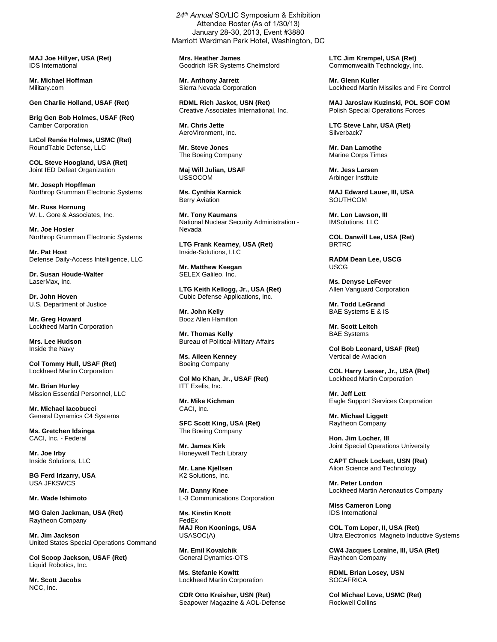**MAJ Joe Hillyer, USA (Ret)**  IDS International

**Mr. Michael Hoffman**  Military.com

**Gen Charlie Holland, USAF (Ret)** 

**Brig Gen Bob Holmes, USAF (Ret)**  Camber Corporation

**LtCol Renée Holmes, USMC (Ret)**  RoundTable Defense, LLC

**COL Steve Hoogland, USA (Ret)**  Joint IED Defeat Organization

**Mr. Joseph Hopffman**  Northrop Grumman Electronic Systems

**Mr. Russ Hornung**  W. L. Gore & Associates, Inc.

**Mr. Joe Hosier**  Northrop Grumman Electronic Systems

**Mr. Pat Host**  Defense Daily-Access Intelligence, LLC

**Dr. Susan Houde-Walter**  LaserMax, Inc.

**Dr. John Hoven**  U.S. Department of Justice

**Mr. Greg Howard**  Lockheed Martin Corporation

**Mrs. Lee Hudson**  Inside the Navy

**Col Tommy Hull, USAF (Ret)**  Lockheed Martin Corporation

**Mr. Brian Hurley**  Mission Essential Personnel, LLC

**Mr. Michael Iacobucci**  General Dynamics C4 Systems

**Ms. Gretchen Idsinga**  CACI, Inc. - Federal

**Mr. Joe Irby**  Inside Solutions, LLC

**BG Ferd Irizarry, USA**  USA JFKSWCS

## **Mr. Wade Ishimoto**

**MG Galen Jackman, USA (Ret)**  Raytheon Company

**Mr. Jim Jackson**  United States Special Operations Command

**Col Scoop Jackson, USAF (Ret)**  Liquid Robotics, Inc.

**Mr. Scott Jacobs**  NCC, Inc.

24<sup>th</sup> Annual SO/LIC Symposium & Exhibition Attendee Roster (As of 1/30/13) January 28-30, 2013, Event #3880 Marriott Wardman Park Hotel, Washington, DC

**Mrs. Heather James**  Goodrich ISR Systems Chelmsford

**Mr. Anthony Jarrett**  Sierra Nevada Corporation

**RDML Rich Jaskot, USN (Ret)**  Creative Associates International, Inc.

**Mr. Chris Jette**  AeroVironment, Inc.

**Mr. Steve Jones**  The Boeing Company

**Maj Will Julian, USAF**  USSOCOM

**Ms. Cynthia Karnick**  Berry Aviation

**Mr. Tony Kaumans**  National Nuclear Security Administration - Nevada

**LTG Frank Kearney, USA (Ret)**  Inside-Solutions, LLC

**Mr. Matthew Keegan**  SELEX Galileo, Inc.

**LTG Keith Kellogg, Jr., USA (Ret)**  Cubic Defense Applications, Inc.

**Mr. John Kelly**  Booz Allen Hamilton

**Mr. Thomas Kelly**  Bureau of Political-Military Affairs

**Ms. Aileen Kenney**  Boeing Company

**Col Mo Khan, Jr., USAF (Ret)**  ITT Exelis, Inc.

**Mr. Mike Kichman**  CACI, Inc.

**SFC Scott King, USA (Ret)**  The Boeing Company

**Mr. James Kirk**  Honeywell Tech Library

**Mr. Lane Kjellsen**  K2 Solutions, Inc.

**Mr. Danny Knee**  L-3 Communications Corporation

**Ms. Kirstin Knott**  FedEx **MAJ Ron Koonings, USA**  USASOC(A)

**Mr. Emil Kovalchik**  General Dynamics-OTS

**Ms. Stefanie Kowitt**  Lockheed Martin Corporation

**CDR Otto Kreisher, USN (Ret)**  Seapower Magazine & AOL-Defense **LTC Jim Krempel, USA (Ret)**  Commonwealth Technology, Inc.

**Mr. Glenn Kuller**  Lockheed Martin Missiles and Fire Control

**MAJ Jaroslaw Kuzinski, POL SOF COM**  Polish Special Operations Forces

**LTC Steve Lahr, USA (Ret)**  Silverback7

**Mr. Dan Lamothe**  Marine Corps Times

**Mr. Jess Larsen**  Arbinger Institute

**MAJ Edward Lauer, III, USA SOUTHCOM** 

**Mr. Lon Lawson, III**  IMSolutions, LLC

**COL Danwill Lee, USA (Ret)**  BRTRC

**RADM Dean Lee, USCG**  USCG

**Ms. Denyse LeFever**  Allen Vanguard Corporation

**Mr. Todd LeGrand**  BAE Systems E & IS

**Mr. Scott Leitch**  BAE Systems

**Col Bob Leonard, USAF (Ret)**  Vertical de Aviacion

**COL Harry Lesser, Jr., USA (Ret)**  Lockheed Martin Corporation

**Mr. Jeff Lett**  Eagle Support Services Corporation

**Mr. Michael Liggett**  Raytheon Company

**Hon. Jim Locher, III**  Joint Special Operations University

**CAPT Chuck Lockett, USN (Ret)**  Alion Science and Technology

**Mr. Peter London**  Lockheed Martin Aeronautics Company

**Miss Cameron Long**  IDS International

**COL Tom Loper, II, USA (Ret)**  Ultra Electronics Magneto Inductive Systems

**CW4 Jacques Loraine, III, USA (Ret)**  Raytheon Company

**RDML Brian Losey, USN SOCAFRICA** 

**Col Michael Love, USMC (Ret)**  Rockwell Collins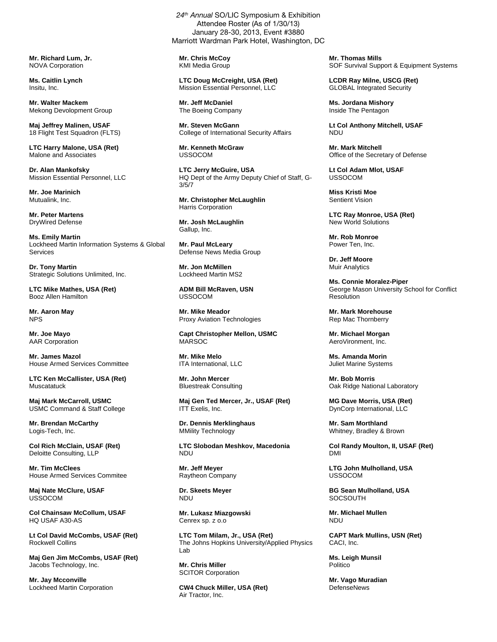**Mr. Richard Lum, Jr.**  NOVA Corporation

**Ms. Caitlin Lynch**  Insitu, Inc.

**Mr. Walter Mackem**  Mekong Devolopment Group

**Maj Jeffrey Malinen, USAF**  18 Flight Test Squadron (FLTS)

**LTC Harry Malone, USA (Ret)**  Malone and Associates

**Dr. Alan Mankofsky**  Mission Essential Personnel, LLC

**Mr. Joe Marinich**  Mutualink, Inc.

**Mr. Peter Martens**  DryWired Defense

**Ms. Emily Martin**  Lockheed Martin Information Systems & Global Services

**Dr. Tony Martin**  Strategic Solutions Unlimited, Inc.

**LTC Mike Mathes, USA (Ret)**  Booz Allen Hamilton

**Mr. Aaron May**  NPS

**Mr. Joe Mayo**  AAR Corporation

**Mr. James Mazol**  House Armed Services Committee

**LTC Ken McCallister, USA (Ret) Muscatatuck** 

**Maj Mark McCarroll, USMC**  USMC Command & Staff College

**Mr. Brendan McCarthy**  Logis-Tech, Inc.

**Col Rich McClain, USAF (Ret)**  Deloitte Consulting, LLP

**Mr. Tim McClees**  House Armed Services Commitee

**Maj Nate McClure, USAF**  USSOCOM

**Col Chainsaw McCollum, USAF**  HQ USAF A30-AS

**Lt Col David McCombs, USAF (Ret)**  Rockwell Collins

**Maj Gen Jim McCombs, USAF (Ret)**  Jacobs Technology, Inc.

**Mr. Jay Mcconville**  Lockheed Martin Corporation

24<sup>th</sup> Annual SO/LIC Symposium & Exhibition Attendee Roster (As of 1/30/13) January 28-30, 2013, Event #3880 Marriott Wardman Park Hotel, Washington, DC

**Mr. Chris McCoy**  KMI Media Group

**LTC Doug McCreight, USA (Ret)**  Mission Essential Personnel, LLC

**Mr. Jeff McDaniel**  The Boeing Company

**Mr. Steven McGann**  College of International Security Affairs

**Mr. Kenneth McGraw USSOCOM** 

**LTC Jerry McGuire, USA**  HQ Dept of the Army Deputy Chief of Staff, G-3/5/7

**Mr. Christopher McLaughlin**  Harris Corporation

**Mr. Josh McLaughlin**  Gallup, Inc.

**Mr. Paul McLeary**  Defense News Media Group

**Mr. Jon McMillen**  Lockheed Martin MS2

**ADM Bill McRaven, USN**  USSOCOM

**Mr. Mike Meador**  Proxy Aviation Technologies

**Capt Christopher Mellon, USMC**  MARSOC

**Mr. Mike Melo**  ITA International, LLC

**Mr. John Mercer**  Bluestreak Consulting

**Maj Gen Ted Mercer, Jr., USAF (Ret)**  ITT Exelis, Inc.

**Dr. Dennis Merklinghaus**  MMility Technology

**LTC Slobodan Meshkov, Macedonia**  NDU

**Mr. Jeff Meyer**  Raytheon Company

**Dr. Skeets Meyer**  NDU

**Mr. Lukasz Miazgowski**  Cenrex sp. z o.o

**LTC Tom Milam, Jr., USA (Ret)**  The Johns Hopkins University/Applied Physics Lab

**Mr. Chris Miller**  SCITOR Corporation

**CW4 Chuck Miller, USA (Ret)**  Air Tractor, Inc.

**Mr. Thomas Mills**  SOF Survival Support & Equipment Systems

**LCDR Ray Milne, USCG (Ret)**  GLOBAL Integrated Security

**Ms. Jordana Mishory**  Inside The Pentagon

**Lt Col Anthony Mitchell, USAF**  NDU

**Mr. Mark Mitchell**  Office of the Secretary of Defense

**Lt Col Adam Mlot, USAF**  USSOCOM

**Miss Kristi Moe**  Sentient Vision

**LTC Ray Monroe, USA (Ret)**  New World Solutions

**Mr. Rob Monroe**  Power Ten, Inc.

**Dr. Jeff Moore**  Muir Analytics

**Ms. Connie Moralez-Piper**  George Mason University School for Conflict Resolution

**Mr. Mark Morehouse**  Rep Mac Thornberry

**Mr. Michael Morgan**  AeroVironment, Inc.

**Ms. Amanda Morin**  Juliet Marine Systems

**Mr. Bob Morris**  Oak Ridge National Laboratory

**MG Dave Morris, USA (Ret)**  DynCorp International, LLC

**Mr. Sam Morthland**  Whitney, Bradley & Brown

**Col Randy Moulton, II, USAF (Ret)**  DMI

**LTG John Mulholland, USA**  USSOCOM

**BG Sean Mulholland, USA SOCSOUTH** 

**Mr. Michael Mullen**  NDU

**CAPT Mark Mullins, USN (Ret)**  CACI, Inc.

**Ms. Leigh Munsil**  Politico

**Mr. Vago Muradian**  DefenseNews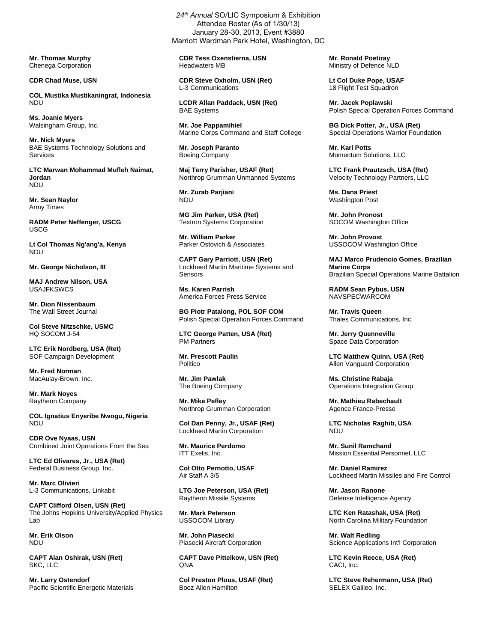**Mr. Thomas Murphy**  Chenega Corporation

**CDR Chad Muse, USN** 

**COL Mustika Mustikaningrat, Indonesia**  NDU

**Ms. Joanie Myers**  Walsingham Group, Inc.

**Mr. Nick Myers**  BAE Systems Technology Solutions and Services

**LTC Marwan Mohammad Mufleh Naimat, Jordan**  NDU

**Mr. Sean Naylor**  Army Times

**RADM Peter Neffenger, USCG**  USCG

**Lt Col Thomas Ng'ang'a, Kenya**  NDU

**Mr. George Nicholson, III** 

**MAJ Andrew Nilson, USA**  USAJFKSWCS

**Mr. Dion Nissenbaum**  The Wall Street Journal

**Col Steve Nitzschke, USMC**  HQ SOCOM J-54

**LTC Erik Nordberg, USA (Ret)**  SOF Campaign Development

**Mr. Fred Norman**  MacAulay-Brown, Inc.

**Mr. Mark Noyes**  Raytheon Company

**COL Ignatius Enyeribe Nwogu, Nigeria**  NDU

**CDR Ove Nyaas, USN**  Combined Joint Operations From the Sea

**LTC Ed Olivares, Jr., USA (Ret)**  Federal Business Group, Inc.

**Mr. Marc Olivieri**  L-3 Communications, Linkabit

**CAPT Clifford Olsen, USN (Ret)**  The Johns Hopkins University/Applied Physics Lab

**Mr. Erik Olson**  NDU

**CAPT Alan Oshirak, USN (Ret)**  SKC, LLC

**Mr. Larry Ostendorf**  Pacific Scientific Energetic Materials

24<sup>th</sup> Annual SO/LIC Symposium & Exhibition Attendee Roster (As of 1/30/13) January 28-30, 2013, Event #3880 Marriott Wardman Park Hotel, Washington, DC

**CDR Tess Oxenstierna, USN**  Headwaters MB

**CDR Steve Oxholm, USN (Ret)**  L-3 Communications

**LCDR Allan Paddack, USN (Ret)**  BAE Systems

**Mr. Joe Pappamihiel**  Marine Corps Command and Staff College

**Mr. Joseph Paranto**  Boeing Company

**Maj Terry Parisher, USAF (Ret)**  Northrop Grumman Unmanned Systems

**Mr. Zurab Parjiani**  NDU

**MG Jim Parker, USA (Ret)**  Textron Systems Corporation

**Mr. William Parker**  Parker Ostovich & Associates

**CAPT Gary Parriott, USN (Ret)**  Lockheed Martin Maritime Systems and **Sensors** 

**Ms. Karen Parrish**  America Forces Press Service

**BG Piotr Patalong, POL SOF COM**  Polish Special Operation Forces Command

**LTC George Patten, USA (Ret)**  PM Partners

**Mr. Prescott Paulin**  Politico

**Mr. Jim Pawlak**  The Boeing Company

**Mr. Mike Pefley**  Northrop Grumman Corporation

**Col Dan Penny, Jr., USAF (Ret)**  Lockheed Martin Corporation

**Mr. Maurice Perdomo**  ITT Exelis, Inc.

**Col Otto Pernotto, USAF**  Air Staff A 3/5

**LTG Joe Peterson, USA (Ret)**  Raytheon Missile Systems

**Mr. Mark Peterson**  USSOCOM Library

**Mr. John Piasecki**  Piasecki Aircraft Corporation

**CAPT Dave Pittelkow, USN (Ret) ONA** 

**Col Preston Plous, USAF (Ret)**  Booz Allen Hamilton

**Mr. Ronald Poetiray**  Ministry of Defence NLD

**Lt Col Duke Pope, USAF**  18 Flight Test Squadron

**Mr. Jacek Poplawski**  Polish Special Operation Forces Command

**BG Dick Potter, Jr., USA (Ret)**  Special Operations Warrior Foundation

**Mr. Karl Potts**  Momentum Solutions, LLC

**LTC Frank Prautzsch, USA (Ret)**  Velocity Technology Partners, LLC

**Ms. Dana Priest**  Washington Post

**Mr. John Pronost**  SOCOM Washington Office

**Mr. John Provost**  USSOCOM Washington Office

**MAJ Marco Prudencio Gomes, Brazilian Marine Corps**  Brazilian Special Operations Marine Battalion

**RADM Sean Pybus, USN**  NAVSPECWARCOM

**Mr. Travis Queen** Thales Communications, Inc.

**Mr. Jerry Quenneville**  Space Data Corporation

**LTC Matthew Quinn, USA (Ret)**  Allen Vanguard Corporation

**Ms. Christine Rabaja**  Operations Integration Group

**Mr. Mathieu Rabechault**  Agence France-Presse

**LTC Nicholas Raghib, USA**  NDU

**Mr. Sunil Ramchand**  Mission Essential Personnel, LLC

**Mr. Daniel Ramirez**  Lockheed Martin Missiles and Fire Control

**Mr. Jason Ranone**  Defense Intelligence Agency

**LTC Ken Ratashak, USA (Ret)**  North Carolina Military Foundation

**Mr. Walt Redling**  Science Applications Int'l Corporation

**LTC Kevin Reece, USA (Ret)**  CACI, Inc.

**LTC Steve Rehermann, USA (Ret)**  SELEX Galileo, Inc.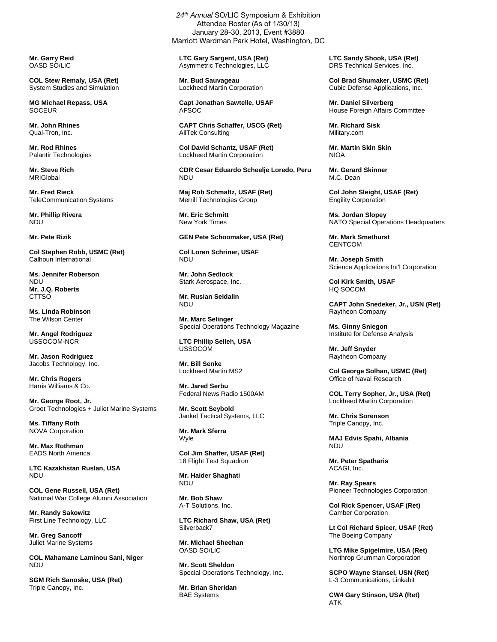**Mr. Garry Reid**  OASD SO/LIC

**COL Stew Remaly, USA (Ret)**  System Studies and Simulation

**MG Michael Repass, USA SOCEUR** 

**Mr. John Rhines**  Qual-Tron, Inc.

**Mr. Rod Rhines**  Palantir Technologies

**Mr. Steve Rich**  MRIGlobal

**Mr. Fred Rieck**  TeleCommunication Systems

**Mr. Phillip Rivera**  NDU

**Mr. Pete Rizik** 

**Col Stephen Robb, USMC (Ret)**  Calhoun International

**Ms. Jennifer Roberson**  NDU **Mr. J.Q. Roberts CTTSO** 

**Ms. Linda Robinson**  The Wilson Center

**Mr. Angel Rodriguez**  USSOCOM-NCR

**Mr. Jason Rodriguez**  Jacobs Technology, Inc.

**Mr. Chris Rogers**  Harris Williams & Co.

**Mr. George Root, Jr.**  Groot Technologies + Juliet Marine Systems

**Ms. Tiffany Roth**  NOVA Corporation

**Mr. Max Rothman**  EADS North America

**LTC Kazakhstan Ruslan, USA**  NDU

**COL Gene Russell, USA (Ret)**  National War College Alumni Association

**Mr. Randy Sakowitz**  First Line Technology, LLC

**Mr. Greg Sancoff**  Juliet Marine Systems

**COL Mahamane Laminou Sani, Niger**  NDU

**SGM Rich Sanoske, USA (Ret)**  Triple Canopy, Inc.

24<sup>th</sup> Annual SO/LIC Symposium & Exhibition Attendee Roster (As of 1/30/13) January 28-30, 2013, Event #3880 Marriott Wardman Park Hotel, Washington, DC

**LTC Gary Sargent, USA (Ret)**  Asymmetric Technologies, LLC

**Mr. Bud Sauvageau**  Lockheed Martin Corporation

**Capt Jonathan Sawtelle, USAF**  AFSOC

**CAPT Chris Schaffer, USCG (Ret)**  AliTek Consulting

**Col David Schantz, USAF (Ret)**  Lockheed Martin Corporation

**CDR Cesar Eduardo Scheelje Loredo, Peru**  NDU

**Maj Rob Schmaltz, USAF (Ret)**  Merrill Technologies Group

**Mr. Eric Schmitt**  New York Times

**GEN Pete Schoomaker, USA (Ret)** 

**Col Loren Schriner, USAF**  NDU

**Mr. John Sedlock**  Stark Aerospace, Inc.

**Mr. Rusian Seidalin**  NDU

**Mr. Marc Selinger**  Special Operations Technology Magazine

**LTC Phillip Selleh, USA**  USSOCOM

**Mr. Bill Senke**  Lockheed Martin MS2

**Mr. Jared Serbu**  Federal News Radio 1500AM

**Mr. Scott Seybold**  Jankel Tactical Systems, LLC

**Mr. Mark Sferra**  Wyle

**Col Jim Shaffer, USAF (Ret)**  18 Flight Test Squadron

**Mr. Haider Shaghati**  NDU

**Mr. Bob Shaw**  A-T Solutions, Inc.

**LTC Richard Shaw, USA (Ret)**  Silverback7

**Mr. Michael Sheehan**  OASD SO/LIC

**Mr. Scott Sheldon**  Special Operations Technology, Inc.

**Mr. Brian Sheridan**  BAE Systems

**LTC Sandy Shook, USA (Ret)**  DRS Technical Services, Inc.

**Col Brad Shumaker, USMC (Ret)**  Cubic Defense Applications, Inc.

**Mr. Daniel Silverberg**  House Foreign Affairs Committee

**Mr. Richard Sisk**  Military.com

**Mr. Martin Skin Skin NIOA** 

**Mr. Gerard Skinner**  M.C. Dean

**Col John Sleight, USAF (Ret)**  Engility Corporation

**Ms. Jordan Slopey**  NATO Special Operations Headquarters

**Mr. Mark Smethurst CENTCOM** 

**Mr. Joseph Smith**  Science Applications Int'l Corporation

**Col Kirk Smith, USAF**  HQ SOCOM

**CAPT John Snedeker, Jr., USN (Ret)**  Raytheon Company

**Ms. Ginny Sniegon**  Institute for Defense Analysis

**Mr. Jeff Snyder**  Raytheon Company

**Col George Solhan, USMC (Ret)**  Office of Naval Research

**COL Terry Sopher, Jr., USA (Ret)**  Lockheed Martin Corporation

**Mr. Chris Sorenson**  Triple Canopy, Inc.

**MAJ Edvis Spahi, Albania**  NDU

**Mr. Peter Spatharis**  ACAGI, Inc.

**Mr. Ray Spears**  Pioneer Technologies Corporation

**Col Rick Spencer, USAF (Ret)**  Camber Corporation

**Lt Col Richard Spicer, USAF (Ret)**  The Boeing Company

**LTG Mike Spigelmire, USA (Ret)**  Northrop Grumman Corporation

**SCPO Wayne Stansel, USN (Ret)**  L-3 Communications, Linkabit

**CW4 Gary Stinson, USA (Ret)**  ATK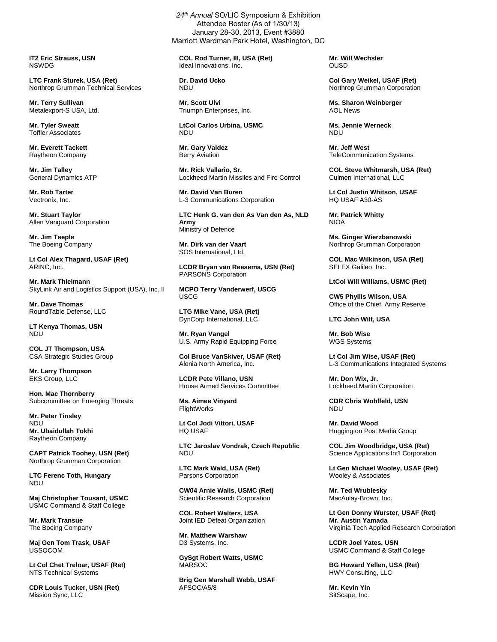**IT2 Eric Strauss, USN**  NSWDG

**LTC Frank Sturek, USA (Ret)**  Northrop Grumman Technical Services

**Mr. Terry Sullivan**  Metalexport-S USA, Ltd.

**Mr. Tyler Sweatt**  Toffler Associates

**Mr. Everett Tackett**  Raytheon Company

**Mr. Jim Talley**  General Dynamics ATP

**Mr. Rob Tarter**  Vectronix, Inc.

**Mr. Stuart Taylor**  Allen Vanguard Corporation

**Mr. Jim Teeple**  The Boeing Company

**Lt Col Alex Thagard, USAF (Ret)**  ARINC, Inc.

**Mr. Mark Thielmann**  SkyLink Air and Logistics Support (USA), Inc. II

**Mr. Dave Thomas**  RoundTable Defense, LLC

**LT Kenya Thomas, USN**  NDU

**COL JT Thompson, USA**  CSA Strategic Studies Group

**Mr. Larry Thompson**  EKS Group, LLC

**Hon. Mac Thornberry**  Subcommittee on Emerging Threats

**Mr. Peter Tinsley**  NDU **Mr. Ubaidullah Tokhi**  Raytheon Company

**CAPT Patrick Toohey, USN (Ret)**  Northrop Grumman Corporation

**LTC Ferenc Toth, Hungary**  NDU

**Maj Christopher Tousant, USMC**  USMC Command & Staff College

**Mr. Mark Transue**  The Boeing Company

**Maj Gen Tom Trask, USAF**  USSOCOM

**Lt Col Chet Treloar, USAF (Ret)**  NTS Technical Systems

**CDR Louis Tucker, USN (Ret)**  Mission Sync, LLC

24<sup>th</sup> Annual SO/LIC Symposium & Exhibition Attendee Roster (As of 1/30/13) January 28-30, 2013, Event #3880 Marriott Wardman Park Hotel, Washington, DC

**COL Rod Turner, III, USA (Ret)**  Ideal Innovations, Inc.

**Dr. David Ucko**  NDU

**Mr. Scott Ulvi**  Triumph Enterprises, Inc.

**LtCol Carlos Urbina, USMC**  NDU

**Mr. Gary Valdez**  Berry Aviation

**Mr. Rick Vallario, Sr.**  Lockheed Martin Missiles and Fire Control

**Mr. David Van Buren**  L-3 Communications Corporation

**LTC Henk G. van den As Van den As, NLD Army**  Ministry of Defence

**Mr. Dirk van der Vaart**  SOS International, Ltd.

**LCDR Bryan van Reesema, USN (Ret)**  PARSONS Corporation

**MCPO Terry Vanderwerf, USCG**  USCG

**LTG Mike Vane, USA (Ret)**  DynCorp International, LLC

**Mr. Ryan Vangel**  U.S. Army Rapid Equipping Force

**Col Bruce VanSkiver, USAF (Ret)**  Alenia North America, Inc.

**LCDR Pete Villano, USN**  House Armed Services Committee

**Ms. Aimee Vinyard**  FlightWorks

**Lt Col Jodi Vittori, USAF**  HQ USAF

**LTC Jaroslav Vondrak, Czech Republic**  NDU

**LTC Mark Wald, USA (Ret)**  Parsons Corporation

**CW04 Arnie Walls, USMC (Ret)**  Scientific Research Corporation

**COL Robert Walters, USA**  Joint IED Defeat Organization

**Mr. Matthew Warshaw**  D3 Systems, Inc.

**GySgt Robert Watts, USMC**  MARSOC

**Brig Gen Marshall Webb, USAF**  AFSOC/A5/8

**Mr. Will Wechsler**  OUSD

**Col Gary Weikel, USAF (Ret)**  Northrop Grumman Corporation

**Ms. Sharon Weinberger**  AOL News

**Ms. Jennie Werneck**  NDU

**Mr. Jeff West**  TeleCommunication Systems

**COL Steve Whitmarsh, USA (Ret)**  Culmen International, LLC

**Lt Col Justin Whitson, USAF**  HQ USAF A30-AS

**Mr. Patrick Whitty**  NIOA

**Ms. Ginger Wierzbanowski**  Northrop Grumman Corporation

**COL Mac Wilkinson, USA (Ret)**  SELEX Galileo, Inc.

**LtCol Will Williams, USMC (Ret)** 

**CW5 Phyllis Wilson, USA**  Office of the Chief, Army Reserve

**LTC John Wilt, USA** 

**Mr. Bob Wise**  WGS Systems

**Lt Col Jim Wise, USAF (Ret)**  L-3 Communications Integrated Systems

**Mr. Don Wix, Jr.**  Lockheed Martin Corporation

**CDR Chris Wohlfeld, USN**  NDU

**Mr. David Wood**  Huggington Post Media Group

**COL Jim Woodbridge, USA (Ret)**  Science Applications Int'l Corporation

**Lt Gen Michael Wooley, USAF (Ret)**  Wooley & Associates

**Mr. Ted Wrublesky**  MacAulay-Brown, Inc.

**Lt Gen Donny Wurster, USAF (Ret) Mr. Austin Yamada**  Virginia Tech Applied Research Corporation

**LCDR Joel Yates, USN**  USMC Command & Staff College

**BG Howard Yellen, USA (Ret)**  HWY Consulting, LLC

**Mr. Kevin Yin**  SitScape, Inc.